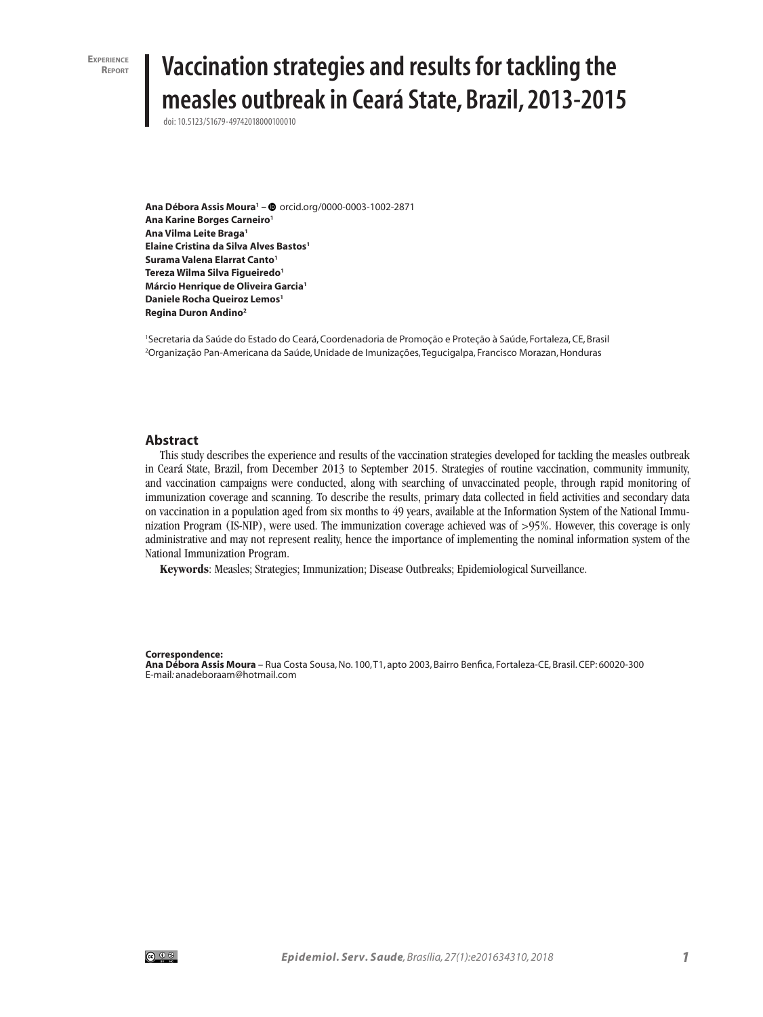**Experience**

# **Vaccination strategies and results for tackling the measles outbreak in Ceará State, Brazil, 2013-2015**

doi: 10.5123/S1679-49742018000100010

**Ana Débora Assis Moura1 –** orcid.org/0000-0003-1002-2871 **Ana Karine Borges Carneiro1 Ana Vilma Leite Braga1 Elaine Cristina da Silva Alves Bastos1 Surama Valena Elarrat Canto1 Tereza Wilma Silva Figueiredo1 Márcio Henrique de Oliveira Garcia1 Daniele Rocha Queiroz Lemos1 Regina Duron Andino2**

1 Secretaria da Saúde do Estado do Ceará, Coordenadoria de Promoção e Proteção à Saúde, Fortaleza, CE, Brasil 2 Organização Pan-Americana da Saúde, Unidade de Imunizações, Tegucigalpa, Francisco Morazan, Honduras

#### **Abstract**

This study describes the experience and results of the vaccination strategies developed for tackling the measles outbreak in Ceará State, Brazil, from December 2013 to September 2015. Strategies of routine vaccination, community immunity, and vaccination campaigns were conducted, along with searching of unvaccinated people, through rapid monitoring of immunization coverage and scanning. To describe the results, primary data collected in field activities and secondary data on vaccination in a population aged from six months to 49 years, available at the Information System of the National Immunization Program (IS-NIP), were used. The immunization coverage achieved was of >95%. However, this coverage is only administrative and may not represent reality, hence the importance of implementing the nominal information system of the National Immunization Program.

**Keywords**: Measles; Strategies; Immunization; Disease Outbreaks; Epidemiological Surveillance.

#### **Correspondence:**

**Ana Débora Assis Moura** – Rua Costa Sousa, No. 100, T1, apto 2003, Bairro Benfica, Fortaleza-CE, Brasil. CEP: 60020-300 E-mail*:* anadeboraam@hotmail.com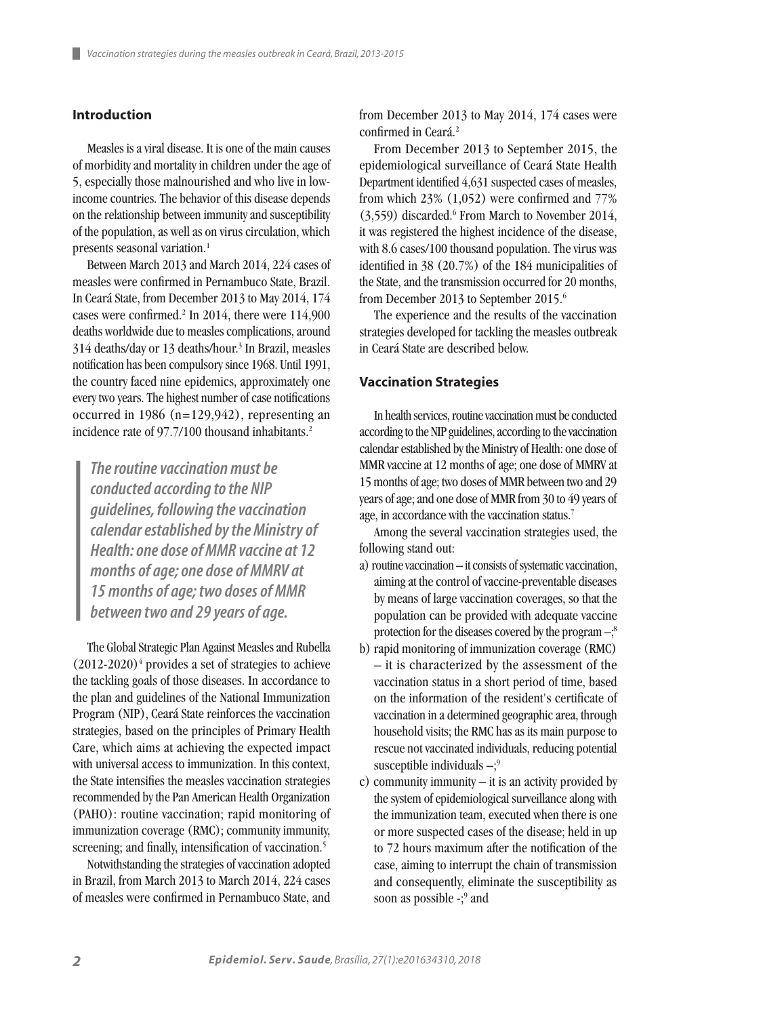# **Introduction**

Measles is a viral disease. It is one of the main causes of morbidity and mortality in children under the age of 5, especially those malnourished and who live in lowincome countries. The behavior of this disease depends on the relationship between immunity and susceptibility of the population, as well as on virus circulation, which presents seasonal variation.<sup>1</sup>

Between March 2013 and March 2014, 224 cases of measles were confirmed in Pernambuco State, Brazil. In Ceará State, from December 2013 to May 2014, 174 cases were confirmed.<sup>2</sup> In 2014, there were 114,900 deaths worldwide due to measles complications, around 314 deaths/day or 13 deaths/hour.3 In Brazil, measles notification has been compulsory since 1968. Until 1991, the country faced nine epidemics, approximately one every two years. The highest number of case notifications occurred in 1986 ( $n=129,942$ ), representing an incidence rate of 97.7/100 thousand inhabitants.<sup>2</sup>

*The routine vaccination must be conducted according to the NIP guidelines, following the vaccination calendar established by the Ministry of Health: one dose of MMR vaccine at 12 months of age; one dose of MMRV at 15 months of age; two doses of MMR between two and 29 years of age.*

The Global Strategic Plan Against Measles and Rubella  $(2012-2020)^4$  provides a set of strategies to achieve the tackling goals of those diseases. In accordance to the plan and guidelines of the National Immunization Program (NIP), Ceará State reinforces the vaccination strategies, based on the principles of Primary Health Care, which aims at achieving the expected impact with universal access to immunization. In this context, the State intensifies the measles vaccination strategies recommended by the Pan American Health Organization (PAHO): routine vaccination; rapid monitoring of immunization coverage (RMC); community immunity, screening; and finally, intensification of vaccination.<sup>5</sup>

Notwithstanding the strategies of vaccination adopted in Brazil, from March 2013 to March 2014, 224 cases of measles were confirmed in Pernambuco State, and

from December 2013 to May 2014, 174 cases were confirmed in Ceará.<sup>2</sup>

From December 2013 to September 2015, the epidemiological surveillance of Ceará State Health Department identified 4,631 suspected cases of measles, from which 23% (1,052) were confirmed and 77% (3,559) discarded.6 From March to November 2014, it was registered the highest incidence of the disease, with 8.6 cases/100 thousand population. The virus was identified in 38 (20.7%) of the 184 municipalities of the State, and the transmission occurred for 20 months, from December 2013 to September 2015.6

The experience and the results of the vaccination strategies developed for tackling the measles outbreak in Ceará State are described below.

#### **Vaccination Strategies**

In health services, routine vaccination must be conducted according to the NIP guidelines, according to the vaccination calendar established by the Ministry of Health: one dose of MMR vaccine at 12 months of age; one dose of MMRV at 15 months of age; two doses of MMR between two and 29 years of age; and one dose of MMR from 30 to 49 years of age, in accordance with the vaccination status.<sup>7</sup>

Among the several vaccination strategies used, the following stand out:

- a) routine vaccination it consists of systematic vaccination, aiming at the control of vaccine-preventable diseases by means of large vaccination coverages, so that the population can be provided with adequate vaccine protection for the diseases covered by the program  $-\frac{3}{5}$
- b) rapid monitoring of immunization coverage (RMC) – it is characterized by the assessment of the vaccination status in a short period of time, based on the information of the resident's certificate of vaccination in a determined geographic area, through household visits; the RMC has as its main purpose to rescue not vaccinated individuals, reducing potential susceptible individuals  $-\xi^9$
- c) community immunity  $-$  it is an activity provided by the system of epidemiological surveillance along with the immunization team, executed when there is one or more suspected cases of the disease; held in up to 72 hours maximum after the notification of the case, aiming to interrupt the chain of transmission and consequently, eliminate the susceptibility as soon as possible -;<sup>9</sup> and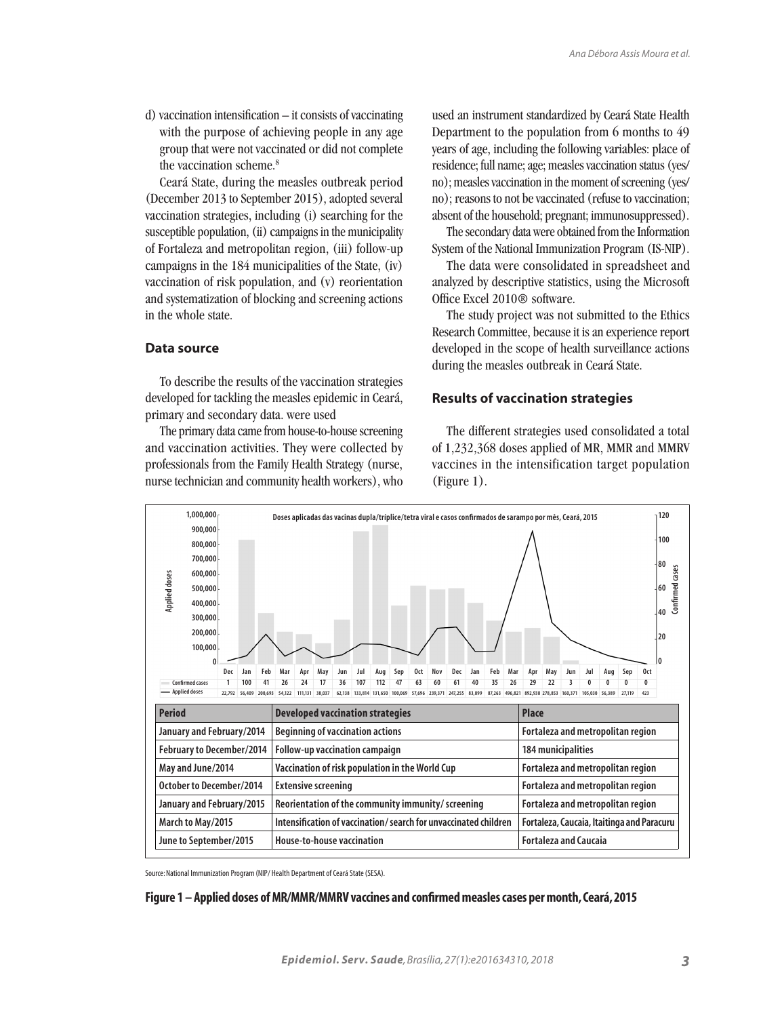d) vaccination intensification – it consists of vaccinating with the purpose of achieving people in any age group that were not vaccinated or did not complete the vaccination scheme.<sup>8</sup>

Ceará State, during the measles outbreak period (December 2013 to September 2015), adopted several vaccination strategies, including (i) searching for the susceptible population, (ii) campaigns in the municipality of Fortaleza and metropolitan region, (iii) follow-up campaigns in the 184 municipalities of the State, (iv) vaccination of risk population, and (v) reorientation and systematization of blocking and screening actions in the whole state.

## **Data source**

To describe the results of the vaccination strategies developed for tackling the measles epidemic in Ceará, primary and secondary data. were used

The primary data came from house-to-house screening and vaccination activities. They were collected by professionals from the Family Health Strategy (nurse, nurse technician and community health workers), who used an instrument standardized by Ceará State Health Department to the population from 6 months to 49 years of age, including the following variables: place of residence; full name; age; measles vaccination status (yes/ no); measles vaccination in the moment of screening (yes/ no); reasons to not be vaccinated (refuse to vaccination; absent of the household; pregnant; immunosuppressed).

The secondary data were obtained from the Information System of the National Immunization Program (IS-NIP).

The data were consolidated in spreadsheet and analyzed by descriptive statistics, using the Microsoft Office Excel 2010® software.

The study project was not submitted to the Ethics Research Committee, because it is an experience report developed in the scope of health surveillance actions during the measles outbreak in Ceará State.

#### **Results of vaccination strategies**

The different strategies used consolidated a total of 1,232,368 doses applied of MR, MMR and MMRV vaccines in the intensification target population (Figure 1).



Source: National Immunization Program (NIP/ Health Department of Ceará State (SESA).

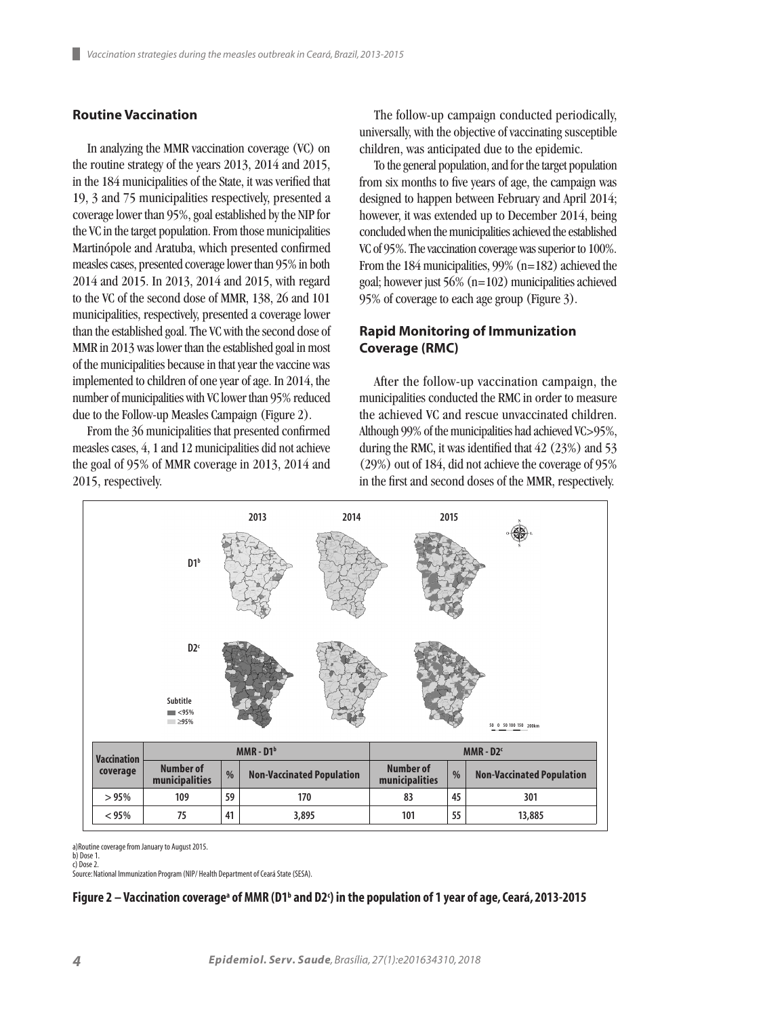## **Routine Vaccination**

In analyzing the MMR vaccination coverage (VC) on the routine strategy of the years 2013, 2014 and 2015, in the 184 municipalities of the State, it was verified that 19, 3 and 75 municipalities respectively, presented a coverage lower than 95%, goal established by the NIP for the VC in the target population. From those municipalities Martinópole and Aratuba, which presented confirmed measles cases, presented coverage lower than 95% in both 2014 and 2015. In 2013, 2014 and 2015, with regard to the VC of the second dose of MMR, 138, 26 and 101 municipalities, respectively, presented a coverage lower than the established goal. The VC with the second dose of MMR in 2013 was lower than the established goal in most of the municipalities because in that year the vaccine was implemented to children of one year of age. In 2014, the number of municipalities with VC lower than 95% reduced due to the Follow-up Measles Campaign (Figure 2).

From the 36 municipalities that presented confirmed measles cases, 4, 1 and 12 municipalities did not achieve the goal of 95% of MMR coverage in 2013, 2014 and 2015, respectively.

The follow-up campaign conducted periodically, universally, with the objective of vaccinating susceptible children, was anticipated due to the epidemic.

To the general population, and for the target population from six months to five years of age, the campaign was designed to happen between February and April 2014; however, it was extended up to December 2014, being concluded when the municipalities achieved the established VC of 95%. The vaccination coverage was superior to 100%. From the 184 municipalities, 99% (n=182) achieved the goal; however just 56% (n=102) municipalities achieved 95% of coverage to each age group (Figure 3).

# **Rapid Monitoring of Immunization Coverage (RMC)**

After the follow-up vaccination campaign, the municipalities conducted the RMC in order to measure the achieved VC and rescue unvaccinated children. Although 99% of the municipalities had achieved VC>95%, during the RMC, it was identified that 42 (23%) and 53 (29%) out of 184, did not achieve the coverage of 95% in the first and second doses of the MMR, respectively.



a)Routine coverage from January to August 2015.

b) Dose 1. c) Dose 2.

Source: National Immunization Program (NIP/ Health Department of Ceará State (SESA).

Figure 2 — Vaccination coverageª of MMR (D1ʰ and D2ˁ) in the population of 1 year of age, Ceará, 2013-2015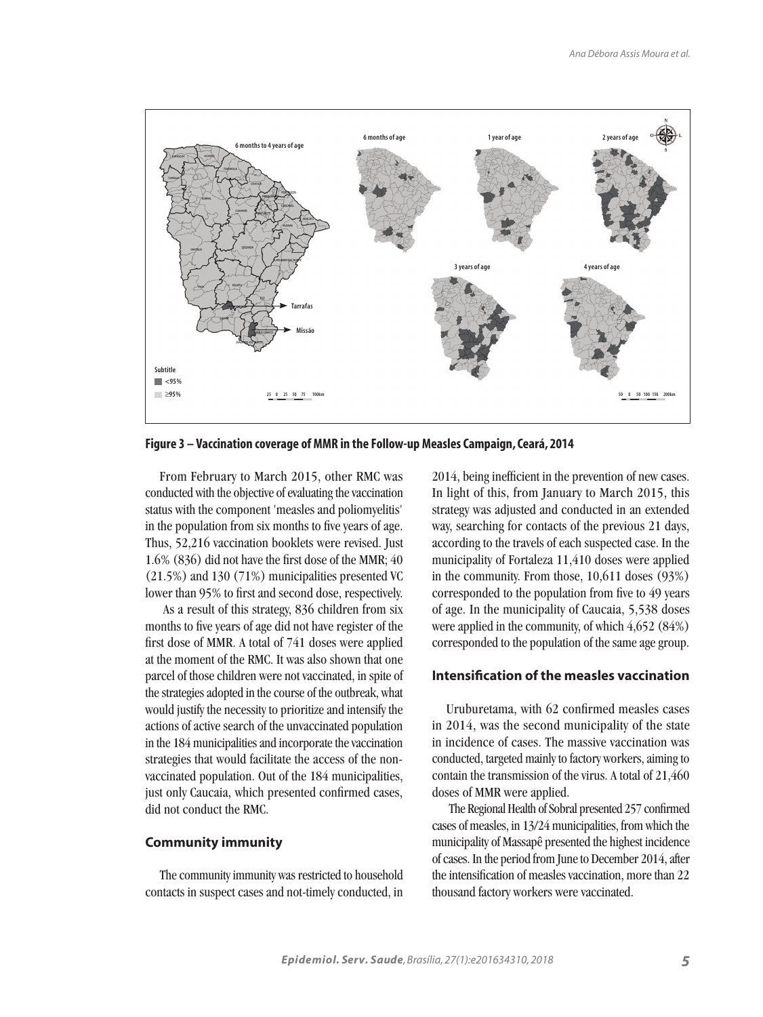

**Figure 3 – Vaccination coverage of MMR in the Follow-up Measles Campaign, Ceará, 2014** 

From February to March 2015, other RMC was conducted with the objective of evaluating the vaccination status with the component 'measles and poliomyelitis' in the population from six months to five years of age. Thus, 52,216 vaccination booklets were revised. Just 1.6% (836) did not have the first dose of the MMR; 40 (21.5%) and 130 (71%) municipalities presented VC lower than 95% to first and second dose, respectively.

 As a result of this strategy, 836 children from six months to five years of age did not have register of the first dose of MMR. A total of 741 doses were applied at the moment of the RMC. It was also shown that one parcel of those children were not vaccinated, in spite of the strategies adopted in the course of the outbreak, what would justify the necessity to prioritize and intensify the actions of active search of the unvaccinated population in the 184 municipalities and incorporate the vaccination strategies that would facilitate the access of the nonvaccinated population. Out of the 184 municipalities, just only Caucaia, which presented confirmed cases, did not conduct the RMC.

#### **Community immunity**

The community immunity was restricted to household contacts in suspect cases and not-timely conducted, in 2014, being inefficient in the prevention of new cases. In light of this, from January to March 2015, this strategy was adjusted and conducted in an extended way, searching for contacts of the previous 21 days, according to the travels of each suspected case. In the municipality of Fortaleza 11,410 doses were applied in the community. From those, 10,611 doses (93%) corresponded to the population from five to 49 years of age. In the municipality of Caucaia, 5,538 doses were applied in the community, of which 4,652 (84%) corresponded to the population of the same age group.

## **Intensification of the measles vaccination**

Uruburetama, with 62 confirmed measles cases in 2014, was the second municipality of the state in incidence of cases. The massive vaccination was conducted, targeted mainly to factory workers, aiming to contain the transmission of the virus. A total of 21,460 doses of MMR were applied.

 The Regional Health of Sobral presented 257 confirmed cases of measles, in 13/24 municipalities, from which the municipality of Massapê presented the highest incidence of cases. In the period from June to December 2014, after the intensification of measles vaccination, more than 22 thousand factory workers were vaccinated.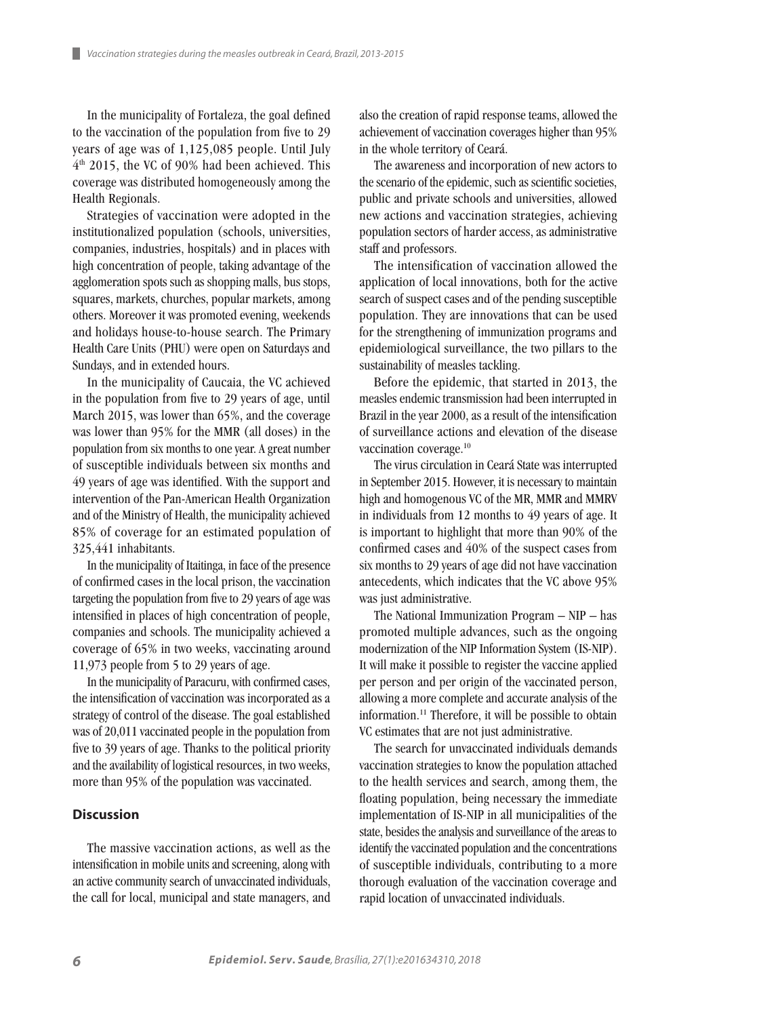In the municipality of Fortaleza, the goal defined to the vaccination of the population from five to 29 years of age was of 1,125,085 people. Until July 4th 2015, the VC of 90% had been achieved. This coverage was distributed homogeneously among the Health Regionals.

ш

Strategies of vaccination were adopted in the institutionalized population (schools, universities, companies, industries, hospitals) and in places with high concentration of people, taking advantage of the agglomeration spots such as shopping malls, bus stops, squares, markets, churches, popular markets, among others. Moreover it was promoted evening, weekends and holidays house-to-house search. The Primary Health Care Units (PHU) were open on Saturdays and Sundays, and in extended hours.

In the municipality of Caucaia, the VC achieved in the population from five to 29 years of age, until March 2015, was lower than 65%, and the coverage was lower than 95% for the MMR (all doses) in the population from six months to one year. A great number of susceptible individuals between six months and 49 years of age was identified. With the support and intervention of the Pan-American Health Organization and of the Ministry of Health, the municipality achieved 85% of coverage for an estimated population of 325,441 inhabitants.

In the municipality of Itaitinga, in face of the presence of confirmed cases in the local prison, the vaccination targeting the population from five to 29 years of age was intensified in places of high concentration of people, companies and schools. The municipality achieved a coverage of 65% in two weeks, vaccinating around 11,973 people from 5 to 29 years of age.

In the municipality of Paracuru, with confirmed cases, the intensification of vaccination was incorporated as a strategy of control of the disease. The goal established was of 20,011 vaccinated people in the population from five to 39 years of age. Thanks to the political priority and the availability of logistical resources, in two weeks, more than 95% of the population was vaccinated.

#### **Discussion**

The massive vaccination actions, as well as the intensification in mobile units and screening, along with an active community search of unvaccinated individuals, the call for local, municipal and state managers, and also the creation of rapid response teams, allowed the achievement of vaccination coverages higher than 95% in the whole territory of Ceará.

The awareness and incorporation of new actors to the scenario of the epidemic, such as scientific societies, public and private schools and universities, allowed new actions and vaccination strategies, achieving population sectors of harder access, as administrative staff and professors.

The intensification of vaccination allowed the application of local innovations, both for the active search of suspect cases and of the pending susceptible population. They are innovations that can be used for the strengthening of immunization programs and epidemiological surveillance, the two pillars to the sustainability of measles tackling.

Before the epidemic, that started in 2013, the measles endemic transmission had been interrupted in Brazil in the year 2000, as a result of the intensification of surveillance actions and elevation of the disease vaccination coverage.10

The virus circulation in Ceará State was interrupted in September 2015. However, it is necessary to maintain high and homogenous VC of the MR, MMR and MMRV in individuals from 12 months to 49 years of age. It is important to highlight that more than 90% of the confirmed cases and 40% of the suspect cases from six months to 29 years of age did not have vaccination antecedents, which indicates that the VC above 95% was just administrative.

The National Immunization Program – NIP – has promoted multiple advances, such as the ongoing modernization of the NIP Information System (IS-NIP). It will make it possible to register the vaccine applied per person and per origin of the vaccinated person, allowing a more complete and accurate analysis of the information.11 Therefore, it will be possible to obtain VC estimates that are not just administrative.

The search for unvaccinated individuals demands vaccination strategies to know the population attached to the health services and search, among them, the floating population, being necessary the immediate implementation of IS-NIP in all municipalities of the state, besides the analysis and surveillance of the areas to identify the vaccinated population and the concentrations of susceptible individuals, contributing to a more thorough evaluation of the vaccination coverage and rapid location of unvaccinated individuals.